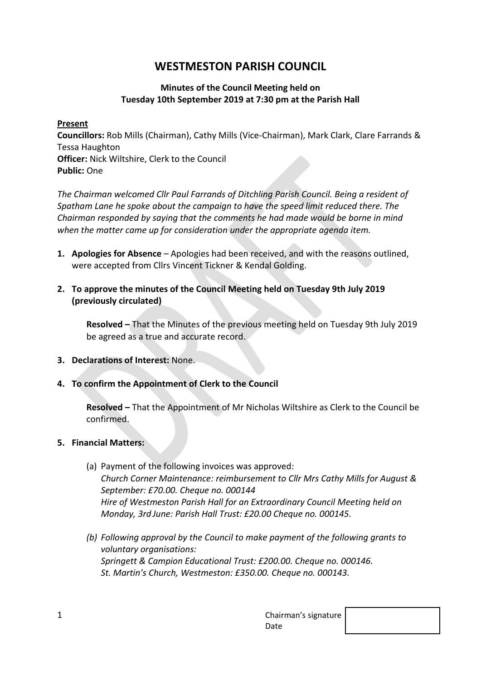# **WESTMESTON PARISH COUNCIL**

## **Minutes of the Council Meeting held on Tuesday 10th September 2019 at 7:30 pm at the Parish Hall**

### **Present**

**Councillors:** Rob Mills (Chairman), Cathy Mills (Vice-Chairman), Mark Clark, Clare Farrands & Tessa Haughton **Officer:** Nick Wiltshire, Clerk to the Council **Public:** One

*The Chairman welcomed Cllr Paul Farrands of Ditchling Parish Council. Being a resident of Spatham Lane he spoke about the campaign to have the speed limit reduced there. The Chairman responded by saying that the comments he had made would be borne in mind when the matter came up for consideration under the appropriate agenda item.*

- **1. Apologies for Absence** Apologies had been received, and with the reasons outlined, were accepted from Cllrs Vincent Tickner & Kendal Golding.
- **2. To approve the minutes of the Council Meeting held on Tuesday 9th July 2019 (previously circulated)**

**Resolved –** That the Minutes of the previous meeting held on Tuesday 9th July 2019 be agreed as a true and accurate record.

- **3. Declarations of Interest:** None.
- **4. To confirm the Appointment of Clerk to the Council**

**Resolved –** That the Appointment of Mr Nicholas Wiltshire as Clerk to the Council be confirmed.

## **5. Financial Matters:**

- (a) Payment of the following invoices was approved: *Church Corner Maintenance: reimbursement to Cllr Mrs Cathy Mills for August & September: £70.00. Cheque no. 000144 Hire of Westmeston Parish Hall for an Extraordinary Council Meeting held on Monday, 3rd June: Parish Hall Trust: £20.00 Cheque no. 000145.*
- *(b) Following approval by the Council to make payment of the following grants to voluntary organisations: Springett & Campion Educational Trust: £200.00. Cheque no. 000146. St. Martin's Church, Westmeston: £350.00. Cheque no. 000143.*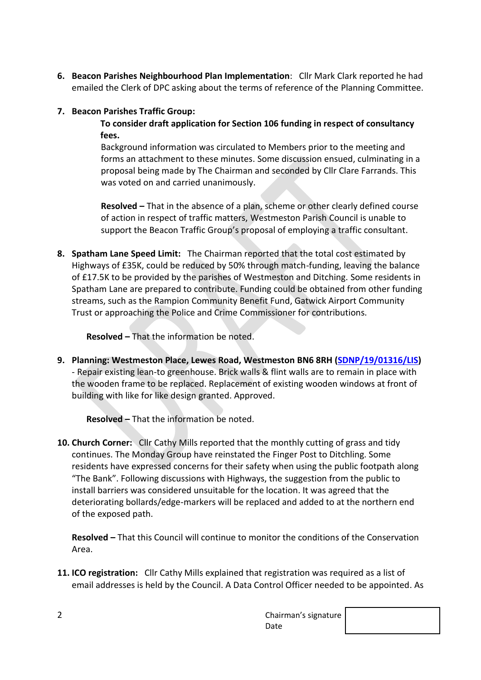**6. Beacon Parishes Neighbourhood Plan Implementation**: Cllr Mark Clark reported he had emailed the Clerk of DPC asking about the terms of reference of the Planning Committee.

# **7. Beacon Parishes Traffic Group:**

# **To consider draft application for Section 106 funding in respect of consultancy fees.**

Background information was circulated to Members prior to the meeting and forms an attachment to these minutes. Some discussion ensued, culminating in a proposal being made by The Chairman and seconded by Cllr Clare Farrands. This was voted on and carried unanimously.

**Resolved –** That in the absence of a plan, scheme or other clearly defined course of action in respect of traffic matters, Westmeston Parish Council is unable to support the Beacon Traffic Group's proposal of employing a traffic consultant.

**8. Spatham Lane Speed Limit:** The Chairman reported that the total cost estimated by Highways of £35K, could be reduced by 50% through match-funding, leaving the balance of £17.5K to be provided by the parishes of Westmeston and Ditching. Some residents in Spatham Lane are prepared to contribute. Funding could be obtained from other funding streams, such as the Rampion Community Benefit Fund, Gatwick Airport Community Trust or approaching the Police and Crime Commissioner for contributions.

**Resolved –** That the information be noted.

**9. Planning: Westmeston Place, Lewes Road, Westmeston BN6 8RH [\(SDNP/19/01316/LIS\)](https://planningpublicaccess.southdowns.gov.uk/online-applications/applicationDetails.do?activeTab=documents&keyVal=POK83PTUKH300)** - Repair existing lean-to greenhouse. Brick walls & flint walls are to remain in place with the wooden frame to be replaced. Replacement of existing wooden windows at front of building with like for like design granted. Approved.

**Resolved –** That the information be noted.

**10. Church Corner:** Cllr Cathy Mills reported that the monthly cutting of grass and tidy continues. The Monday Group have reinstated the Finger Post to Ditchling. Some residents have expressed concerns for their safety when using the public footpath along "The Bank". Following discussions with Highways, the suggestion from the public to install barriers was considered unsuitable for the location. It was agreed that the deteriorating bollards/edge-markers will be replaced and added to at the northern end of the exposed path.

**Resolved –** That this Council will continue to monitor the conditions of the Conservation Area.

**11. ICO registration:** Cllr Cathy Mills explained that registration was required as a list of email addresses is held by the Council. A Data Control Officer needed to be appointed. As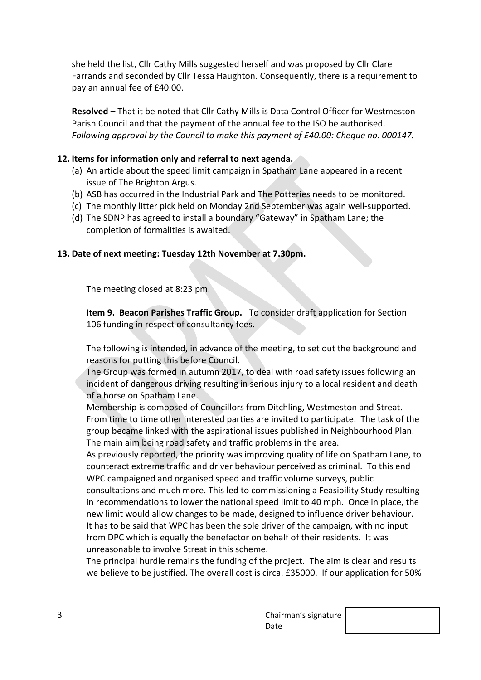she held the list, Cllr Cathy Mills suggested herself and was proposed by Cllr Clare Farrands and seconded by Cllr Tessa Haughton. Consequently, there is a requirement to pay an annual fee of £40.00.

**Resolved –** That it be noted that Cllr Cathy Mills is Data Control Officer for Westmeston Parish Council and that the payment of the annual fee to the ISO be authorised. *Following approval by the Council to make this payment of £40.00: Cheque no. 000147.*

#### **12. Items for information only and referral to next agenda.**

- (a) An article about the speed limit campaign in Spatham Lane appeared in a recent issue of The Brighton Argus.
- (b) ASB has occurred in the Industrial Park and The Potteries needs to be monitored.
- (c) The monthly litter pick held on Monday 2nd September was again well-supported.
- (d) The SDNP has agreed to install a boundary "Gateway" in Spatham Lane; the completion of formalities is awaited.

#### **13. Date of next meeting: Tuesday 12th November at 7.30pm.**

The meeting closed at 8:23 pm.

**Item 9. Beacon Parishes Traffic Group.** To consider draft application for Section 106 funding in respect of consultancy fees.

The following is intended, in advance of the meeting, to set out the background and reasons for putting this before Council.

The Group was formed in autumn 2017, to deal with road safety issues following an incident of dangerous driving resulting in serious injury to a local resident and death of a horse on Spatham Lane.

Membership is composed of Councillors from Ditchling, Westmeston and Streat. From time to time other interested parties are invited to participate. The task of the group became linked with the aspirational issues published in Neighbourhood Plan. The main aim being road safety and traffic problems in the area.

As previously reported, the priority was improving quality of life on Spatham Lane, to counteract extreme traffic and driver behaviour perceived as criminal. To this end WPC campaigned and organised speed and traffic volume surveys, public consultations and much more. This led to commissioning a Feasibility Study resulting in recommendations to lower the national speed limit to 40 mph. Once in place, the new limit would allow changes to be made, designed to influence driver behaviour. It has to be said that WPC has been the sole driver of the campaign, with no input from DPC which is equally the benefactor on behalf of their residents. It was unreasonable to involve Streat in this scheme.

The principal hurdle remains the funding of the project. The aim is clear and results we believe to be justified. The overall cost is circa. £35000. If our application for 50%